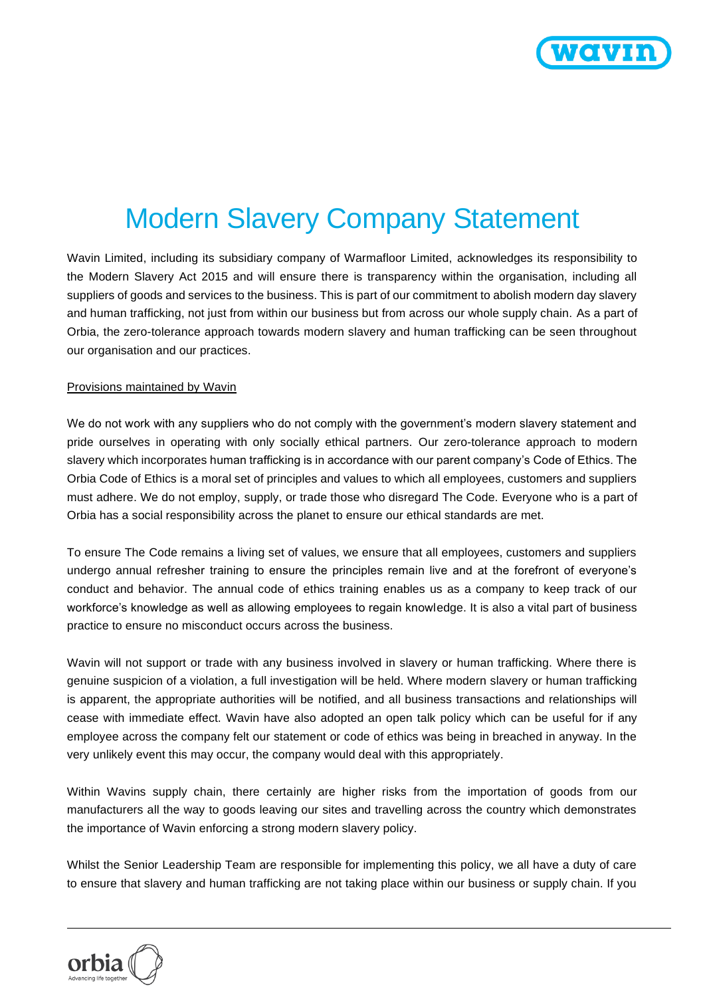

## Modern Slavery Company Statement

Wavin Limited, including its subsidiary company of Warmafloor Limited, acknowledges its responsibility to the Modern Slavery Act 2015 and will ensure there is transparency within the organisation, including all suppliers of goods and services to the business. This is part of our commitment to abolish modern day slavery and human trafficking, not just from within our business but from across our whole supply chain. As a part of Orbia, the zero-tolerance approach towards modern slavery and human trafficking can be seen throughout our organisation and our practices.

## Provisions maintained by Wavin

We do not work with any suppliers who do not comply with the government's modern slavery statement and pride ourselves in operating with only socially ethical partners. Our zero-tolerance approach to modern slavery which incorporates human trafficking is in accordance with our parent company's Code of Ethics. The Orbia Code of Ethics is a moral set of principles and values to which all employees, customers and suppliers must adhere. We do not employ, supply, or trade those who disregard The Code. Everyone who is a part of Orbia has a social responsibility across the planet to ensure our ethical standards are met.

To ensure The Code remains a living set of values, we ensure that all employees, customers and suppliers undergo annual refresher training to ensure the principles remain live and at the forefront of everyone's conduct and behavior. The annual code of ethics training enables us as a company to keep track of our workforce's knowledge as well as allowing employees to regain knowledge. It is also a vital part of business practice to ensure no misconduct occurs across the business.

Wavin will not support or trade with any business involved in slavery or human trafficking. Where there is genuine suspicion of a violation, a full investigation will be held. Where modern slavery or human trafficking is apparent, the appropriate authorities will be notified, and all business transactions and relationships will cease with immediate effect. Wavin have also adopted an open talk policy which can be useful for if any employee across the company felt our statement or code of ethics was being in breached in anyway. In the very unlikely event this may occur, the company would deal with this appropriately.

Within Wavins supply chain, there certainly are higher risks from the importation of goods from our manufacturers all the way to goods leaving our sites and travelling across the country which demonstrates the importance of Wavin enforcing a strong modern slavery policy.

Whilst the Senior Leadership Team are responsible for implementing this policy, we all have a duty of care to ensure that slavery and human trafficking are not taking place within our business or supply chain. If you